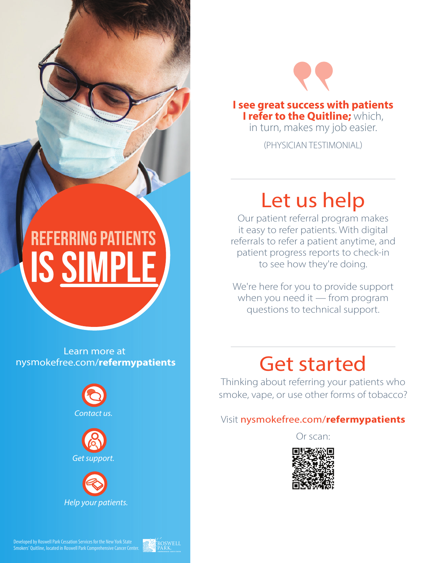

I see great success with patients I refer to the Quitline; which,

in turn, makes my job easier.

(PHYSICIAN TESTIMONIAL)

# Let us help

Our patient referral program makes it easy to refer patients. With digital referrals to refer a patient anytime, and patient progress reports to check-in to see how they're doing.

We're here for you to provide support when you need it  $-$  from program questions to technical support.

### Get started

Thinking about referring your patients who smoke, vape, or use other forms of tobacco?

#### Visit nysmokefree.com/refermypatients

Or scan:



# $\boldsymbol{\mathsf{IS}}$  si **REFERRING PATIEN**

Learn more at nysmokefree.com/**refermypatients**